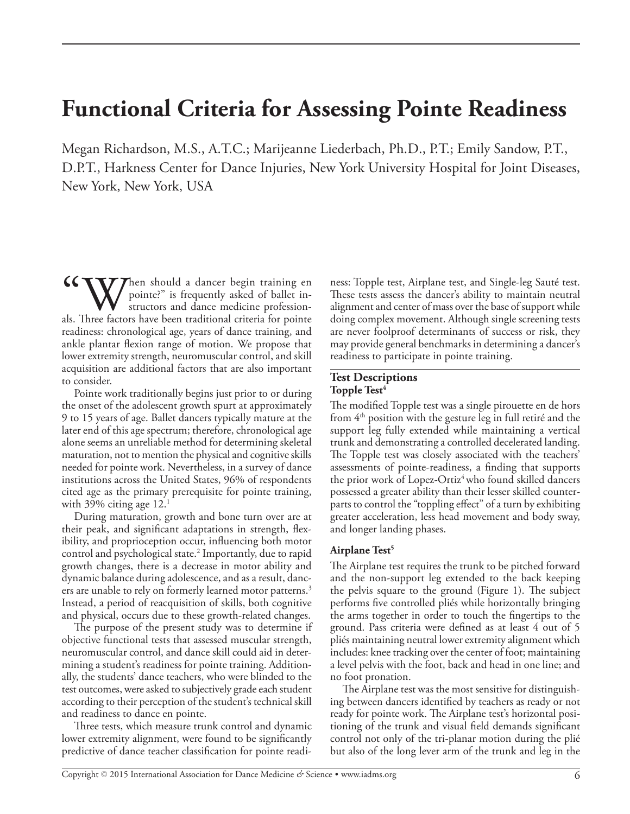# **Functional Criteria for Assessing Pointe Readiness**

Megan Richardson, M.S., A.T.C.; Marijeanne Liederbach, Ph.D., P.T.; Emily Sandow, P.T., D.P.T., Harkness Center for Dance Injuries, New York University Hospital for Joint Diseases, New York, New York, USA

When should a dancer begin training en pointe?" is frequently asked of ballet instructors and dance medicine professionals. Three factors have been traditional criteria for pointe readiness: chronological age, years of dance training, and ankle plantar flexion range of motion. We propose that lower extremity strength, neuromuscular control, and skill acquisition are additional factors that are also important to consider.

Pointe work traditionally begins just prior to or during the onset of the adolescent growth spurt at approximately 9 to 15 years of age. Ballet dancers typically mature at the later end of this age spectrum; therefore, chronological age alone seems an unreliable method for determining skeletal maturation, not to mention the physical and cognitive skills needed for pointe work. Nevertheless, in a survey of dance institutions across the United States, 96% of respondents cited age as the primary prerequisite for pointe training, with 39% citing age  $12.^1$ 

During maturation, growth and bone turn over are at their peak, and significant adaptations in strength, flexibility, and proprioception occur, influencing both motor control and psychological state.2 Importantly, due to rapid growth changes, there is a decrease in motor ability and dynamic balance during adolescence, and as a result, dancers are unable to rely on formerly learned motor patterns.<sup>3</sup> Instead, a period of reacquisition of skills, both cognitive and physical, occurs due to these growth-related changes.

The purpose of the present study was to determine if objective functional tests that assessed muscular strength, neuromuscular control, and dance skill could aid in determining a student's readiness for pointe training. Additionally, the students' dance teachers, who were blinded to the test outcomes, were asked to subjectively grade each student according to their perception of the student's technical skill and readiness to dance en pointe.

Three tests, which measure trunk control and dynamic lower extremity alignment, were found to be significantly predictive of dance teacher classification for pointe readiness: Topple test, Airplane test, and Single-leg Sauté test. These tests assess the dancer's ability to maintain neutral alignment and center of mass over the base of support while doing complex movement. Although single screening tests are never foolproof determinants of success or risk, they may provide general benchmarks in determining a dancer's readiness to participate in pointe training.

## **Test Descriptions Topple Test<sup>4</sup>**

The modified Topple test was a single pirouette en de hors from  $4<sup>th</sup>$  position with the gesture leg in full retiré and the support leg fully extended while maintaining a vertical trunk and demonstrating a controlled decelerated landing. The Topple test was closely associated with the teachers' assessments of pointe-readiness, a finding that supports the prior work of Lopez-Ortiz<sup>4</sup> who found skilled dancers possessed a greater ability than their lesser skilled counterparts to control the "toppling effect" of a turn by exhibiting greater acceleration, less head movement and body sway, and longer landing phases.

# Airplane Test<sup>5</sup>

The Airplane test requires the trunk to be pitched forward and the non-support leg extended to the back keeping the pelvis square to the ground (Figure 1). The subject performs five controlled pliés while horizontally bringing the arms together in order to touch the fingertips to the ground. Pass criteria were defined as at least 4 out of 5 pliés maintaining neutral lower extremity alignment which includes: knee tracking over the center of foot; maintaining a level pelvis with the foot, back and head in one line; and no foot pronation.

The Airplane test was the most sensitive for distinguishing between dancers identified by teachers as ready or not ready for pointe work. The Airplane test's horizontal positioning of the trunk and visual field demands significant control not only of the tri-planar motion during the plié but also of the long lever arm of the trunk and leg in the